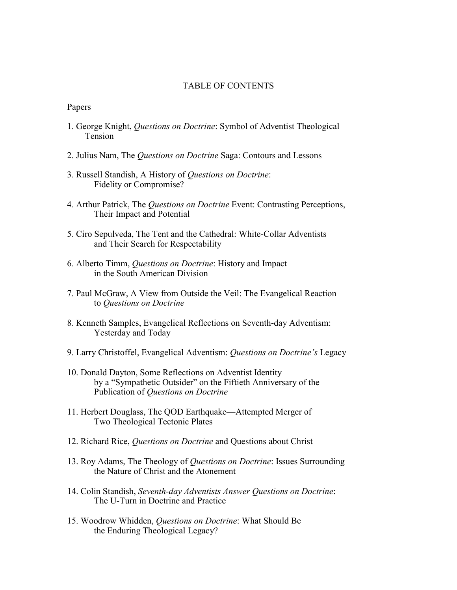## TABLE OF CONTENTS

Papers

- 1. George Knight, Questions on Doctrine: Symbol of Adventist Theological Tension
- 2. Julius Nam, The Questions on Doctrine Saga: Contours and Lessons
- 3. Russell Standish, A History of Questions on Doctrine: Fidelity or Compromise?
- 4. Arthur Patrick, The Questions on Doctrine Event: Contrasting Perceptions, Their Impact and Potential
- 5. Ciro Sepulveda, The Tent and the Cathedral: White-Collar Adventists and Their Search for Respectability
- 6. Alberto Timm, Questions on Doctrine: History and Impact in the South American Division
- 7. Paul McGraw, A View from Outside the Veil: The Evangelical Reaction to Questions on Doctrine
- 8. Kenneth Samples, Evangelical Reflections on Seventh-day Adventism: Yesterday and Today
- 9. Larry Christoffel, Evangelical Adventism: Questions on Doctrine's Legacy
- 10. Donald Dayton, Some Reflections on Adventist Identity by a "Sympathetic Outsider" on the Fiftieth Anniversary of the Publication of Questions on Doctrine
- 11. Herbert Douglass, The QOD Earthquake—Attempted Merger of Two Theological Tectonic Plates
- 12. Richard Rice, Questions on Doctrine and Questions about Christ
- 13. Roy Adams, The Theology of Questions on Doctrine: Issues Surrounding the Nature of Christ and the Atonement
- 14. Colin Standish, Seventh-day Adventists Answer Questions on Doctrine: The U-Turn in Doctrine and Practice
- 15. Woodrow Whidden, Questions on Doctrine: What Should Be the Enduring Theological Legacy?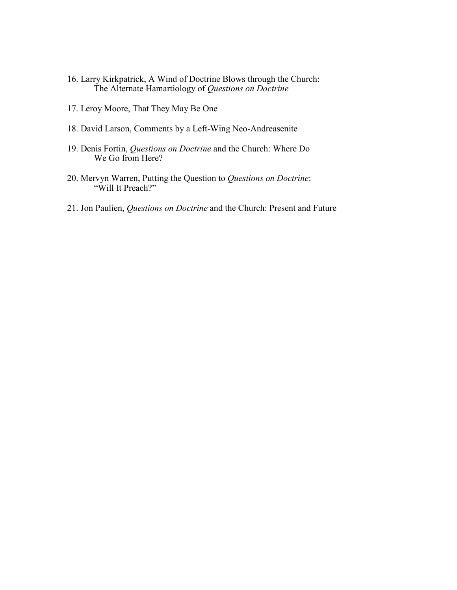- 16. Larry Kirkpatrick, A Wind of Doctrine Blows through the Church: The Alternate Hamartiology of Questions on Doctrine
- 17. Leroy Moore, That They May Be One
- 18. David Larson, Comments by a Left-Wing Neo-Andreasenite
- 19. Denis Fortin, Questions on Doctrine and the Church: Where Do We Go from Here?
- 20. Mervyn Warren, Putting the Question to Questions on Doctrine: "Will It Preach?"
- 21. Jon Paulien, Questions on Doctrine and the Church: Present and Future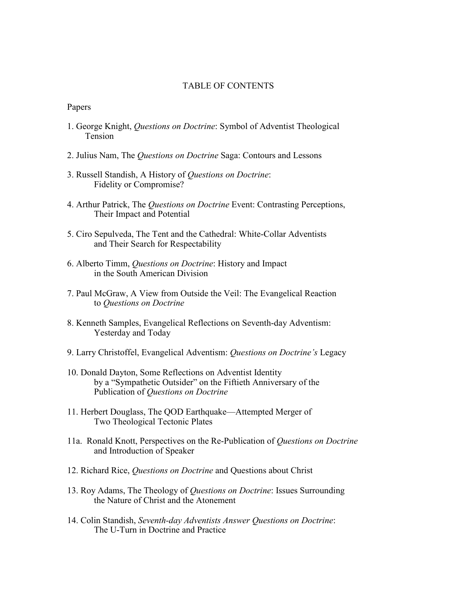## TABLE OF CONTENTS

Papers

- 1. George Knight, Questions on Doctrine: Symbol of Adventist Theological Tension
- 2. Julius Nam, The Questions on Doctrine Saga: Contours and Lessons
- 3. Russell Standish, A History of Questions on Doctrine: Fidelity or Compromise?
- 4. Arthur Patrick, The Questions on Doctrine Event: Contrasting Perceptions, Their Impact and Potential
- 5. Ciro Sepulveda, The Tent and the Cathedral: White-Collar Adventists and Their Search for Respectability
- 6. Alberto Timm, Questions on Doctrine: History and Impact in the South American Division
- 7. Paul McGraw, A View from Outside the Veil: The Evangelical Reaction to Questions on Doctrine
- 8. Kenneth Samples, Evangelical Reflections on Seventh-day Adventism: Yesterday and Today
- 9. Larry Christoffel, Evangelical Adventism: Questions on Doctrine's Legacy
- 10. Donald Dayton, Some Reflections on Adventist Identity by a "Sympathetic Outsider" on the Fiftieth Anniversary of the Publication of Questions on Doctrine
- 11. Herbert Douglass, The QOD Earthquake—Attempted Merger of Two Theological Tectonic Plates
- 11a. Ronald Knott, Perspectives on the Re-Publication of Questions on Doctrine and Introduction of Speaker
- 12. Richard Rice, Questions on Doctrine and Questions about Christ
- 13. Roy Adams, The Theology of Questions on Doctrine: Issues Surrounding the Nature of Christ and the Atonement
- 14. Colin Standish, Seventh-day Adventists Answer Questions on Doctrine: The U-Turn in Doctrine and Practice